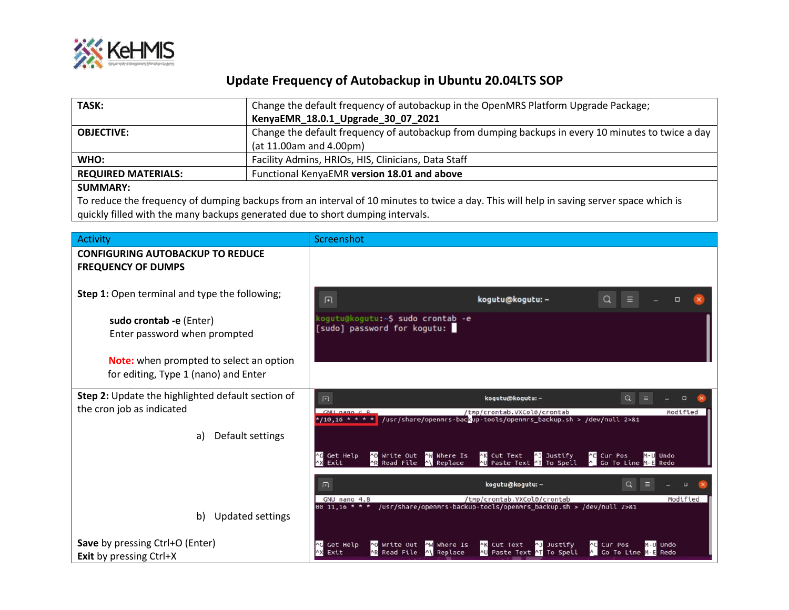

## **Update Frequency of Autobackup in Ubuntu 20.04LTS SOP**

| TASK:                      | Change the default frequency of autobackup in the OpenMRS Platform Upgrade Package;                |
|----------------------------|----------------------------------------------------------------------------------------------------|
|                            | KenyaEMR_18.0.1_Upgrade_30_07_2021                                                                 |
| <b>OBJECTIVE:</b>          | Change the default frequency of autobackup from dumping backups in every 10 minutes to twice a day |
|                            | (at 11.00am and 4.00pm)                                                                            |
| WHO:                       | Facility Admins, HRIOs, HIS, Clinicians, Data Staff                                                |
| <b>REQUIRED MATERIALS:</b> | Functional KenyaEMR version 18.01 and above                                                        |
| CHINANA A DV.              |                                                                                                    |

## **SUMMARY:**

 $\overline{\phantom{a}}$ 

To reduce the frequency of dumping backups from an interval of 10 minutes to twice a day. This will help in saving server space which is quickly filled with the many backups generated due to short dumping intervals.

| Activity                                                                               | Screenshot                                                                                                                                                                                                                                   |
|----------------------------------------------------------------------------------------|----------------------------------------------------------------------------------------------------------------------------------------------------------------------------------------------------------------------------------------------|
| <b>CONFIGURING AUTOBACKUP TO REDUCE</b><br><b>FREQUENCY OF DUMPS</b>                   |                                                                                                                                                                                                                                              |
| Step 1: Open terminal and type the following;                                          | Q<br>kogutu@kogutu: ~<br>间                                                                                                                                                                                                                   |
| sudo crontab - e (Enter)<br>Enter password when prompted                               | kogutu@kogutu:~\$ <b>sudo cronta<u>b</u> -e</b><br>[sudo] password for kogutu: I                                                                                                                                                             |
| <b>Note:</b> when prompted to select an option<br>for editing, Type 1 (nano) and Enter |                                                                                                                                                                                                                                              |
| <b>Step 2:</b> Update the highlighted default section of<br>the cron job as indicated  | $\alpha$<br>$\Box$<br>kogutu@kogutu: ~                                                                                                                                                                                                       |
|                                                                                        | GNU nano 4.8<br>/tmp/crontab.VXCol0/crontab<br>Modified<br>/usr/share/openmrs-backup-tools/openmrs backup.sh > /dev/null 2>&1<br>$* / 10,16 * * * * *$                                                                                       |
| Default settings<br>a)                                                                 |                                                                                                                                                                                                                                              |
|                                                                                        | ^0 Write Out<br>NW Where Is<br><b>NK</b> Cut Text<br><b>AJ Justify</b><br><b>C</b> Cur Pos<br><b>AG</b> Get Help<br>M-U Undo<br>AR Read File<br>A Go To Line<br>To Spell<br><b>AX Exit</b><br>Replace<br>Paste Text<br>Redo                  |
|                                                                                        | kogutu@kogutu: ~<br>回<br>$\Box$                                                                                                                                                                                                              |
| Updated settings<br>b)                                                                 | GNU nano 4.8<br>/tmp/crontab.VXCol0/crontab<br>Modified<br>/usr/share/openmrs-backup-tools/openmrs_backup.sh > /dev/null 2>&1<br>$0011,16$ * * *                                                                                             |
| Save by pressing Ctrl+O (Enter)<br><b>Exit by pressing Ctrl+X</b>                      | AK Cut Text<br><b>AC</b> Cur Pos<br><b>AG</b> Get Help<br>^0 Write Out<br>MW Where Is<br><b>AJ Justify</b><br>M-U Undo<br>A Go To Line<br><b>AX Exit</b><br><b>AR Read</b><br>AU Paste Text AT<br>To Spell<br>File<br>A\ Replace<br>M-E Redo |